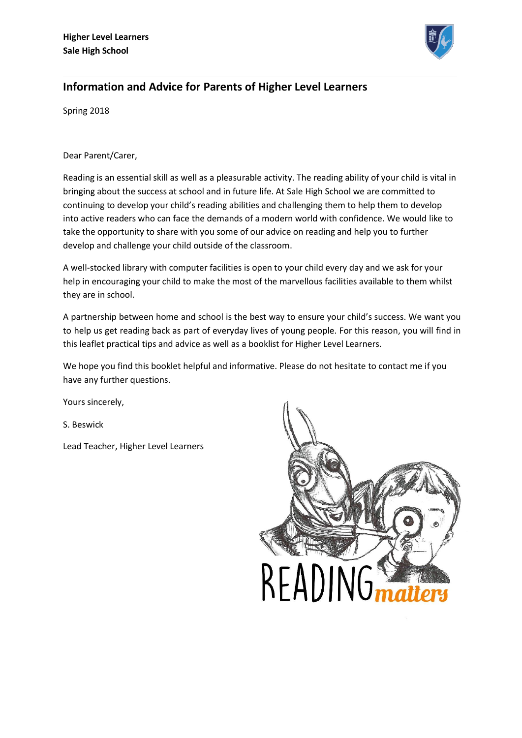

# **Information and Advice for Parents of Higher Level Learners**

Spring 2018

### Dear Parent/Carer,

Reading is an essential skill as well as a pleasurable activity. The reading ability of your child is vital in bringing about the success at school and in future life. At Sale High School we are committed to continuing to develop your child's reading abilities and challenging them to help them to develop into active readers who can face the demands of a modern world with confidence. We would like to take the opportunity to share with you some of our advice on reading and help you to further develop and challenge your child outside of the classroom.

A well-stocked library with computer facilities is open to your child every day and we ask for your help in encouraging your child to make the most of the marvellous facilities available to them whilst they are in school.

A partnership between home and school is the best way to ensure your child's success. We want you to help us get reading back as part of everyday lives of young people. For this reason, you will find in this leaflet practical tips and advice as well as a booklist for Higher Level Learners.

We hope you find this booklet helpful and informative. Please do not hesitate to contact me if you have any further questions.

Yours sincerely,

S. Beswick

Lead Teacher, Higher Level Learners

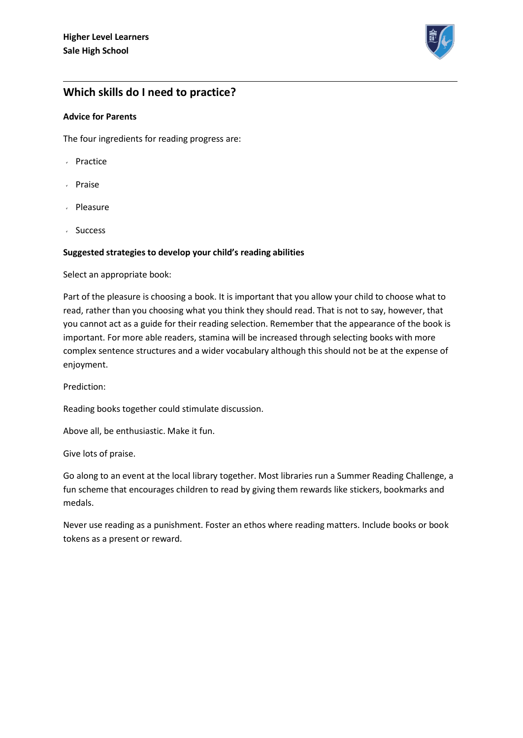

## **Which skills do I need to practice?**

#### **Advice for Parents**

The four ingredients for reading progress are:

- Practice
- Praise
- Pleasure
- Success

#### **Suggested strategies to develop your child's reading abilities**

Select an appropriate book:

Part of the pleasure is choosing a book. It is important that you allow your child to choose what to read, rather than you choosing what you think they should read. That is not to say, however, that you cannot act as a guide for their reading selection. Remember that the appearance of the book is important. For more able readers, stamina will be increased through selecting books with more complex sentence structures and a wider vocabulary although this should not be at the expense of enjoyment.

Prediction:

Reading books together could stimulate discussion.

Above all, be enthusiastic. Make it fun.

Give lots of praise.

Go along to an event at the local library together. Most libraries run a Summer Reading Challenge, a fun scheme that encourages children to read by giving them rewards like stickers, bookmarks and medals.

Never use reading as a punishment. Foster an ethos where reading matters. Include books or book tokens as a present or reward.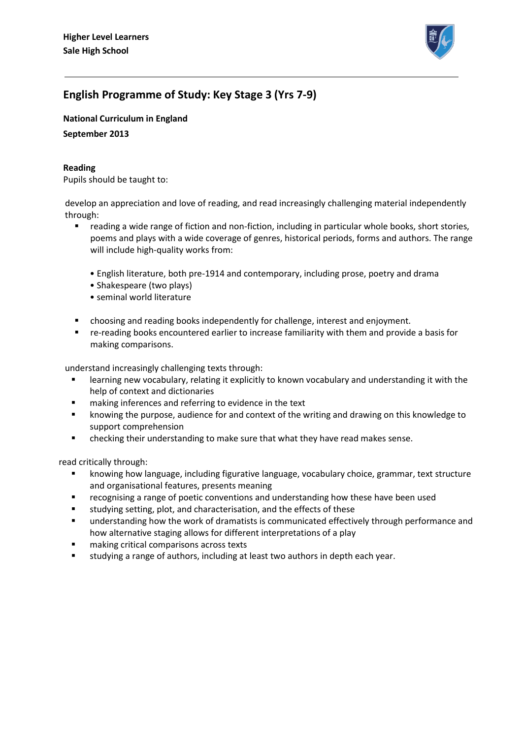

# **English Programme of Study: Key Stage 3 (Yrs 7-9)**

**National Curriculum in England** 

**September 2013** 

### **Reading**

Pupils should be taught to:

develop an appreciation and love of reading, and read increasingly challenging material independently through:

- reading a wide range of fiction and non-fiction, including in particular whole books, short stories, poems and plays with a wide coverage of genres, historical periods, forms and authors. The range will include high-quality works from:
	- English literature, both pre-1914 and contemporary, including prose, poetry and drama
	- Shakespeare (two plays)
	- seminal world literature
- choosing and reading books independently for challenge, interest and enjoyment.
- re-reading books encountered earlier to increase familiarity with them and provide a basis for making comparisons.

understand increasingly challenging texts through:

- learning new vocabulary, relating it explicitly to known vocabulary and understanding it with the help of context and dictionaries
- **EXECT** making inferences and referring to evidence in the text
- **EXED** knowing the purpose, audience for and context of the writing and drawing on this knowledge to support comprehension
- checking their understanding to make sure that what they have read makes sense.

read critically through:

- knowing how language, including figurative language, vocabulary choice, grammar, text structure and organisational features, presents meaning
- recognising a range of poetic conventions and understanding how these have been used
- studying setting, plot, and characterisation, and the effects of these
- understanding how the work of dramatists is communicated effectively through performance and how alternative staging allows for different interpretations of a play
- making critical comparisons across texts
- studying a range of authors, including at least two authors in depth each year.